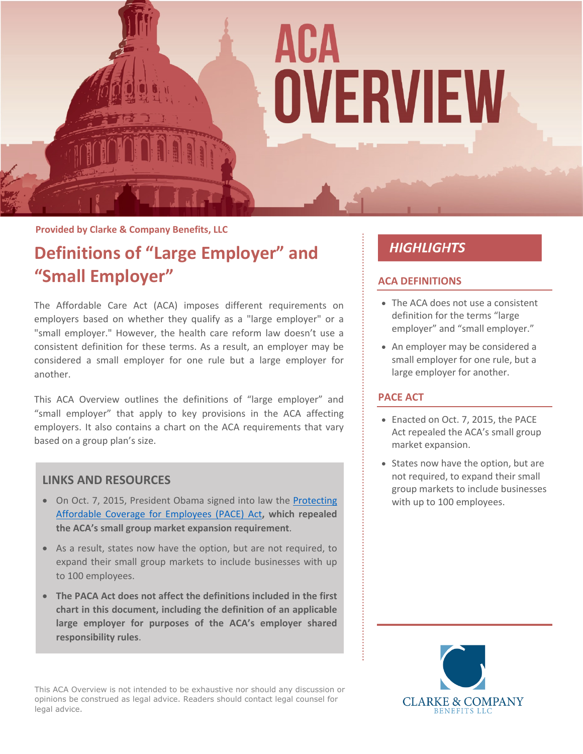

### **Provided by Clarke & Company Benefits, LLC**

### **Definitions of "Large Employer" and "Small Employer"**

The Affordable Care Act (ACA) imposes different requirements on employers based on whether they qualify as a "large employer" or a "small employer." However, the health care reform law doesn't use a consistent definition for these terms. As a result, an employer may be considered a small employer for one rule but a large employer for another.

This ACA Overview outlines the definitions of "large employer" and "small employer" that apply to key provisions in the ACA affecting employers. It also contains a chart on the ACA requirements that vary based on a group plan's size.

### **LINKS AND RESOURCES**

- On Oct. 7, 2015, President Obama signed into law the Protecting [Affordable Coverage for Employees \(PACE\) Act](https://www.congress.gov/114/bills/hr1624/BILLS-114hr1624eh.pdf)**, which repealed the ACA's small group market expansion requirement**.
- As a result, states now have the option, but are not required, to expand their small group markets to include businesses with up to 100 employees.
- **The PACA Act does not affect the definitions included in the first chart in this document, including the definition of an applicable large employer for purposes of the ACA's employer shared responsibility rules**.

This ACA Overview is not intended to be exhaustive nor should any discussion or opinions be construed as legal advice. Readers should contact legal counsel for legal advice.

### **HIGHLIGHTS**

### **ACA DEFINITIONS**

- The ACA does not use a consistent definition for the terms "large employer" and "small employer."
- An employer may be considered a small employer for one rule, but a large employer for another.

### **PACE ACT**

- Enacted on Oct. 7, 2015, the PACE Act repealed the ACA's small group market expansion.
- States now have the option, but are not required, to expand their small group markets to include businesses with up to 100 employees.

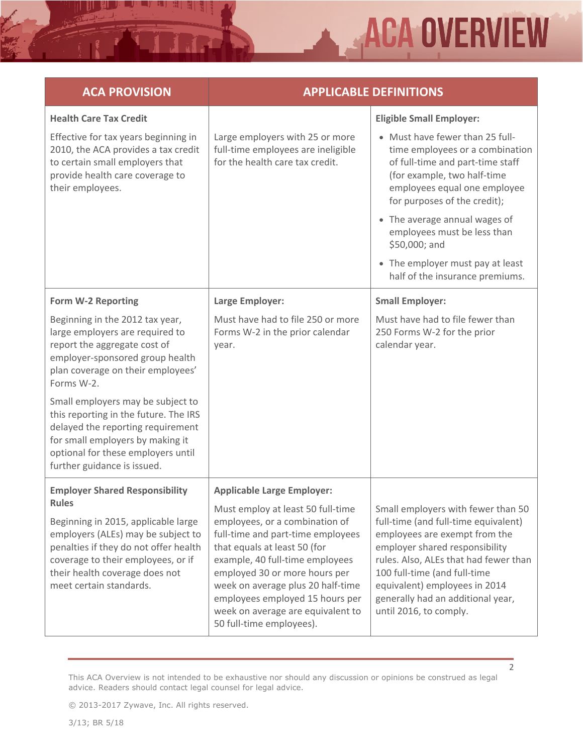## **ACA OVERVIEW**

| <b>ACA PROVISION</b>                                                                                                                                                                                                                                                                                                                                                                  | <b>APPLICABLE DEFINITIONS</b>                                                                                                                                                                                                                                                                                                                                                              |                                                                                                                                                                                                                                                                                                                        |
|---------------------------------------------------------------------------------------------------------------------------------------------------------------------------------------------------------------------------------------------------------------------------------------------------------------------------------------------------------------------------------------|--------------------------------------------------------------------------------------------------------------------------------------------------------------------------------------------------------------------------------------------------------------------------------------------------------------------------------------------------------------------------------------------|------------------------------------------------------------------------------------------------------------------------------------------------------------------------------------------------------------------------------------------------------------------------------------------------------------------------|
| <b>Health Care Tax Credit</b>                                                                                                                                                                                                                                                                                                                                                         |                                                                                                                                                                                                                                                                                                                                                                                            | <b>Eligible Small Employer:</b>                                                                                                                                                                                                                                                                                        |
| Effective for tax years beginning in<br>2010, the ACA provides a tax credit<br>to certain small employers that<br>provide health care coverage to<br>their employees.                                                                                                                                                                                                                 | Large employers with 25 or more<br>full-time employees are ineligible<br>for the health care tax credit.                                                                                                                                                                                                                                                                                   | • Must have fewer than 25 full-<br>time employees or a combination<br>of full-time and part-time staff<br>(for example, two half-time<br>employees equal one employee<br>for purposes of the credit);                                                                                                                  |
|                                                                                                                                                                                                                                                                                                                                                                                       |                                                                                                                                                                                                                                                                                                                                                                                            | • The average annual wages of<br>employees must be less than<br>\$50,000; and                                                                                                                                                                                                                                          |
|                                                                                                                                                                                                                                                                                                                                                                                       |                                                                                                                                                                                                                                                                                                                                                                                            | • The employer must pay at least<br>half of the insurance premiums.                                                                                                                                                                                                                                                    |
| <b>Form W-2 Reporting</b>                                                                                                                                                                                                                                                                                                                                                             | Large Employer:                                                                                                                                                                                                                                                                                                                                                                            | <b>Small Employer:</b>                                                                                                                                                                                                                                                                                                 |
| Beginning in the 2012 tax year,<br>large employers are required to<br>report the aggregate cost of<br>employer-sponsored group health<br>plan coverage on their employees'<br>Forms W-2.<br>Small employers may be subject to<br>this reporting in the future. The IRS<br>delayed the reporting requirement<br>for small employers by making it<br>optional for these employers until | Must have had to file 250 or more<br>Forms W-2 in the prior calendar<br>year.                                                                                                                                                                                                                                                                                                              | Must have had to file fewer than<br>250 Forms W-2 for the prior<br>calendar year.                                                                                                                                                                                                                                      |
| further guidance is issued.                                                                                                                                                                                                                                                                                                                                                           |                                                                                                                                                                                                                                                                                                                                                                                            |                                                                                                                                                                                                                                                                                                                        |
| <b>Employer Shared Responsibility</b><br>Rules<br>Beginning in 2015, applicable large<br>employers (ALEs) may be subject to<br>penalties if they do not offer health<br>coverage to their employees, or if<br>their health coverage does not<br>meet certain standards.                                                                                                               | <b>Applicable Large Employer:</b><br>Must employ at least 50 full-time<br>employees, or a combination of<br>full-time and part-time employees<br>that equals at least 50 (for<br>example, 40 full-time employees<br>employed 30 or more hours per<br>week on average plus 20 half-time<br>employees employed 15 hours per<br>week on average are equivalent to<br>50 full-time employees). | Small employers with fewer than 50<br>full-time (and full-time equivalent)<br>employees are exempt from the<br>employer shared responsibility<br>rules. Also, ALEs that had fewer than<br>100 full-time (and full-time<br>equivalent) employees in 2014<br>generally had an additional year,<br>until 2016, to comply. |

This ACA Overview is not intended to be exhaustive nor should any discussion or opinions be construed as legal advice. Readers should contact legal counsel for legal advice.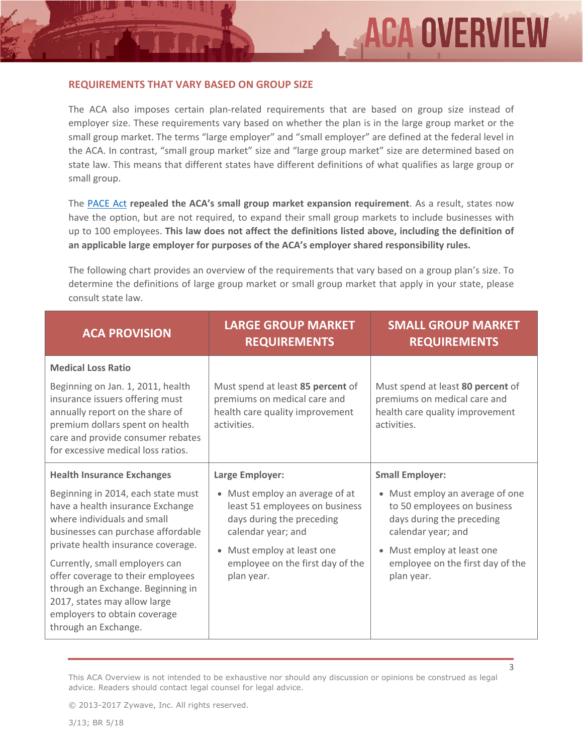#### **REQUIREMENTS THAT VARY BASED ON GROUP SIZE**

The ACA also imposes certain plan-related requirements that are based on group size instead of employer size. These requirements vary based on whether the plan is in the large group market or the small group market. The terms "large employer" and "small employer" are defined at the federal level in the ACA. In contrast, "small group market" size and "large group market" size are determined based on state law. This means that different states have different definitions of what qualifies as large group or small group.

The [PACE Act](https://www.congress.gov/114/bills/hr1624/BILLS-114hr1624eh.pdf) **repealed the ACA's small group market expansion requirement**. As a result, states now have the option, but are not required, to expand their small group markets to include businesses with up to 100 employees. **This law does not affect the definitions listed above, including the definition of an applicable large employer for purposes of the ACA's employer shared responsibility rules.**

The following chart provides an overview of the requirements that vary based on a group plan's size. To determine the definitions of large group market or small group market that apply in your state, please consult state law.

| <b>ACA PROVISION</b>                                                                                                                                                                                                                                                                                                                                                                                                       | <b>LARGE GROUP MARKET</b><br><b>REQUIREMENTS</b>                                                                                                                                                                     | <b>SMALL GROUP MARKET</b><br><b>REQUIREMENTS</b>                                                                                                                                                                                       |
|----------------------------------------------------------------------------------------------------------------------------------------------------------------------------------------------------------------------------------------------------------------------------------------------------------------------------------------------------------------------------------------------------------------------------|----------------------------------------------------------------------------------------------------------------------------------------------------------------------------------------------------------------------|----------------------------------------------------------------------------------------------------------------------------------------------------------------------------------------------------------------------------------------|
| <b>Medical Loss Ratio</b><br>Beginning on Jan. 1, 2011, health<br>insurance issuers offering must<br>annually report on the share of<br>premium dollars spent on health<br>care and provide consumer rebates<br>for excessive medical loss ratios.                                                                                                                                                                         | Must spend at least 85 percent of<br>premiums on medical care and<br>health care quality improvement<br>activities.                                                                                                  | Must spend at least 80 percent of<br>premiums on medical care and<br>health care quality improvement<br>activities.                                                                                                                    |
| <b>Health Insurance Exchanges</b><br>Beginning in 2014, each state must<br>have a health insurance Exchange<br>where individuals and small<br>businesses can purchase affordable<br>private health insurance coverage.<br>Currently, small employers can<br>offer coverage to their employees<br>through an Exchange. Beginning in<br>2017, states may allow large<br>employers to obtain coverage<br>through an Exchange. | Large Employer:<br>• Must employ an average of at<br>least 51 employees on business<br>days during the preceding<br>calendar year; and<br>Must employ at least one<br>employee on the first day of the<br>plan year. | <b>Small Employer:</b><br>• Must employ an average of one<br>to 50 employees on business<br>days during the preceding<br>calendar year; and<br>Must employ at least one<br>$\bullet$<br>employee on the first day of the<br>plan year. |

This ACA Overview is not intended to be exhaustive nor should any discussion or opinions be construed as legal advice. Readers should contact legal counsel for legal advice.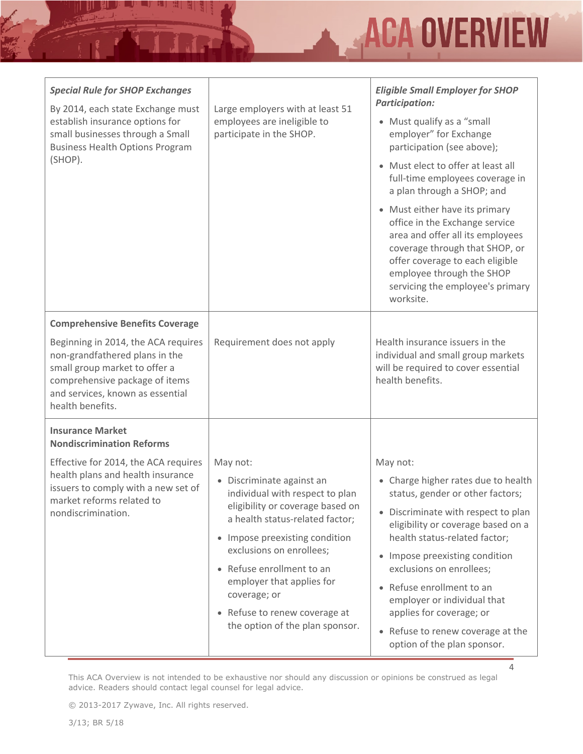# **ACA OVERVIEW**

4

| <b>Special Rule for SHOP Exchanges</b><br>By 2014, each state Exchange must<br>establish insurance options for<br>small businesses through a Small<br><b>Business Health Options Program</b><br>(SHOP).                                    | Large employers with at least 51<br>employees are ineligible to<br>participate in the SHOP.                                                                                                                                                                                                                                                                 | <b>Eligible Small Employer for SHOP</b><br><b>Participation:</b><br>• Must qualify as a "small<br>employer" for Exchange<br>participation (see above);<br>• Must elect to offer at least all<br>full-time employees coverage in<br>a plan through a SHOP; and<br>• Must either have its primary<br>office in the Exchange service<br>area and offer all its employees<br>coverage through that SHOP, or<br>offer coverage to each eligible<br>employee through the SHOP<br>servicing the employee's primary<br>worksite. |
|--------------------------------------------------------------------------------------------------------------------------------------------------------------------------------------------------------------------------------------------|-------------------------------------------------------------------------------------------------------------------------------------------------------------------------------------------------------------------------------------------------------------------------------------------------------------------------------------------------------------|--------------------------------------------------------------------------------------------------------------------------------------------------------------------------------------------------------------------------------------------------------------------------------------------------------------------------------------------------------------------------------------------------------------------------------------------------------------------------------------------------------------------------|
| <b>Comprehensive Benefits Coverage</b><br>Beginning in 2014, the ACA requires<br>non-grandfathered plans in the<br>small group market to offer a<br>comprehensive package of items<br>and services, known as essential<br>health benefits. | Requirement does not apply                                                                                                                                                                                                                                                                                                                                  | Health insurance issuers in the<br>individual and small group markets<br>will be required to cover essential<br>health benefits.                                                                                                                                                                                                                                                                                                                                                                                         |
| <b>Insurance Market</b><br><b>Nondiscrimination Reforms</b><br>Effective for 2014, the ACA requires<br>health plans and health insurance<br>issuers to comply with a new set of<br>market reforms related to<br>nondiscrimination.         | May not:<br>• Discriminate against an<br>individual with respect to plan<br>eligibility or coverage based on<br>a health status-related factor;<br>• Impose preexisting condition<br>exclusions on enrollees;<br>• Refuse enrollment to an<br>employer that applies for<br>coverage; or<br>• Refuse to renew coverage at<br>the option of the plan sponsor. | May not:<br>• Charge higher rates due to health<br>status, gender or other factors;<br>• Discriminate with respect to plan<br>eligibility or coverage based on a<br>health status-related factor;<br>• Impose preexisting condition<br>exclusions on enrollees;<br>• Refuse enrollment to an<br>employer or individual that<br>applies for coverage; or<br>• Refuse to renew coverage at the<br>option of the plan sponsor.                                                                                              |

This ACA Overview is not intended to be exhaustive nor should any discussion or opinions be construed as legal advice. Readers should contact legal counsel for legal advice.